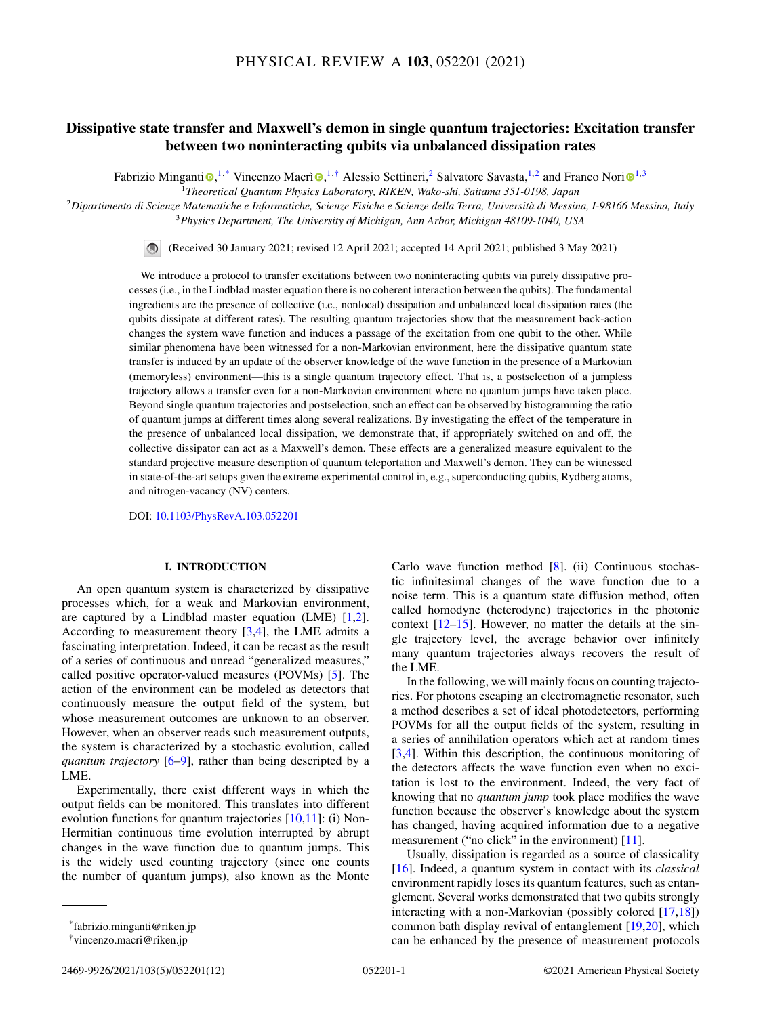# **Dissipative state transfer and Maxwell's demon in single quantum trajectories: Excitation transfer between two noninteracting qubits via unbalanced dissipation rates**

Fabrizio Minganti <sup>®[,](https://orcid.org/0000-0002-6232-4110) 1,\*</sup> V[i](https://orcid.org/0000-0003-3682-7432)ncenzo Macrì ®, <sup>1,†</sup> Alessio Settineri,<sup>2</sup> Salvatore Savasta, <sup>1,2</sup> and Franco Nori ®<sup>1,3</sup>

<sup>1</sup>*Theoretical Quantum Physics Laboratory, RIKEN, Wako-shi, Saitama 351-0198, Japan*

<sup>2</sup>*Dipartimento di Scienze Matematiche e Informatiche, Scienze Fisiche e Scienze della Terra, Università di Messina, I-98166 Messina, Italy* <sup>3</sup>*Physics Department, The University of Michigan, Ann Arbor, Michigan 48109-1040, USA*

> $\bigcirc$ (Received 30 January 2021; revised 12 April 2021; accepted 14 April 2021; published 3 May 2021)

We introduce a protocol to transfer excitations between two noninteracting qubits via purely dissipative processes (i.e., in the Lindblad master equation there is no coherent interaction between the qubits). The fundamental ingredients are the presence of collective (i.e., nonlocal) dissipation and unbalanced local dissipation rates (the qubits dissipate at different rates). The resulting quantum trajectories show that the measurement back-action changes the system wave function and induces a passage of the excitation from one qubit to the other. While similar phenomena have been witnessed for a non-Markovian environment, here the dissipative quantum state transfer is induced by an update of the observer knowledge of the wave function in the presence of a Markovian (memoryless) environment—this is a single quantum trajectory effect. That is, a postselection of a jumpless trajectory allows a transfer even for a non-Markovian environment where no quantum jumps have taken place. Beyond single quantum trajectories and postselection, such an effect can be observed by histogramming the ratio of quantum jumps at different times along several realizations. By investigating the effect of the temperature in the presence of unbalanced local dissipation, we demonstrate that, if appropriately switched on and off, the collective dissipator can act as a Maxwell's demon. These effects are a generalized measure equivalent to the standard projective measure description of quantum teleportation and Maxwell's demon. They can be witnessed in state-of-the-art setups given the extreme experimental control in, e.g., superconducting qubits, Rydberg atoms, and nitrogen-vacancy (NV) centers.

DOI: [10.1103/PhysRevA.103.052201](https://doi.org/10.1103/PhysRevA.103.052201)

## **I. INTRODUCTION**

An open quantum system is characterized by dissipative processes which, for a weak and Markovian environment, are captured by a Lindblad master equation (LME) [\[1,2\]](#page-9-0). According to measurement theory [\[3,4\]](#page-9-0), the LME admits a fascinating interpretation. Indeed, it can be recast as the result of a series of continuous and unread "generalized measures," called positive operator-valued measures (POVMs) [\[5\]](#page-9-0). The action of the environment can be modeled as detectors that continuously measure the output field of the system, but whose measurement outcomes are unknown to an observer. However, when an observer reads such measurement outputs, the system is characterized by a stochastic evolution, called *quantum trajectory* [\[6–9\]](#page-9-0), rather than being descripted by a LME.

Experimentally, there exist different ways in which the output fields can be monitored. This translates into different evolution functions for quantum trajectories [\[10,11\]](#page-9-0): (i) Non-Hermitian continuous time evolution interrupted by abrupt changes in the wave function due to quantum jumps. This is the widely used counting trajectory (since one counts the number of quantum jumps), also known as the Monte

Carlo wave function method [\[8\]](#page-9-0). (ii) Continuous stochastic infinitesimal changes of the wave function due to a noise term. This is a quantum state diffusion method, often called homodyne (heterodyne) trajectories in the photonic context [\[12–15\]](#page-9-0). However, no matter the details at the single trajectory level, the average behavior over infinitely many quantum trajectories always recovers the result of the LME.

In the following, we will mainly focus on counting trajectories. For photons escaping an electromagnetic resonator, such a method describes a set of ideal photodetectors, performing POVMs for all the output fields of the system, resulting in a series of annihilation operators which act at random times [\[3,4\]](#page-9-0). Within this description, the continuous monitoring of the detectors affects the wave function even when no excitation is lost to the environment. Indeed, the very fact of knowing that no *quantum jump* took place modifies the wave function because the observer's knowledge about the system has changed, having acquired information due to a negative measurement ("no click" in the environment) [\[11\]](#page-9-0).

Usually, dissipation is regarded as a source of classicality [\[16\]](#page-9-0). Indeed, a quantum system in contact with its *classical* environment rapidly loses its quantum features, such as entanglement. Several works demonstrated that two qubits strongly interacting with a non-Markovian (possibly colored [\[17,18\]](#page-9-0)) common bath display revival of entanglement [\[19,20\]](#page-9-0), which can be enhanced by the presence of measurement protocols

<sup>\*</sup>fabrizio.minganti@riken.jp

<sup>†</sup>vincenzo.macri@riken.jp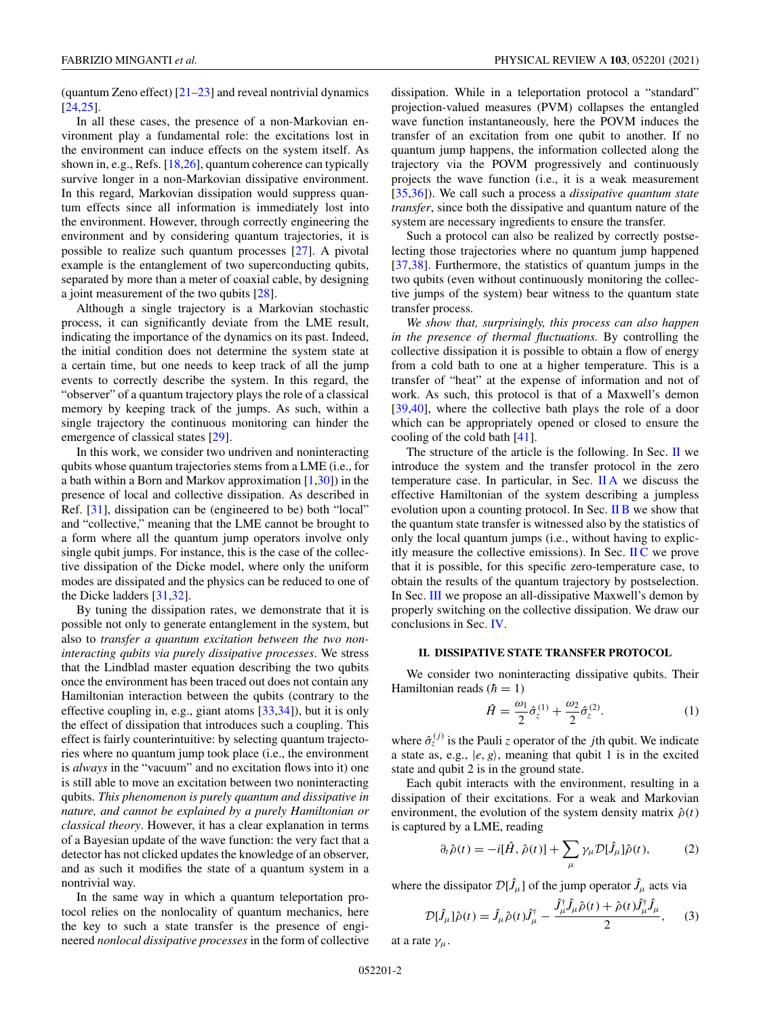<span id="page-1-0"></span>(quantum Zeno effect)  $[21-23]$  and reveal nontrivial dynamics [\[24,25\]](#page-9-0).

In all these cases, the presence of a non-Markovian environment play a fundamental role: the excitations lost in the environment can induce effects on the system itself. As shown in, e.g., Refs. [\[18,26\]](#page-9-0), quantum coherence can typically survive longer in a non-Markovian dissipative environment. In this regard, Markovian dissipation would suppress quantum effects since all information is immediately lost into the environment. However, through correctly engineering the environment and by considering quantum trajectories, it is possible to realize such quantum processes [\[27\]](#page-9-0). A pivotal example is the entanglement of two superconducting qubits, separated by more than a meter of coaxial cable, by designing a joint measurement of the two qubits [\[28\]](#page-9-0).

Although a single trajectory is a Markovian stochastic process, it can significantly deviate from the LME result, indicating the importance of the dynamics on its past. Indeed, the initial condition does not determine the system state at a certain time, but one needs to keep track of all the jump events to correctly describe the system. In this regard, the "observer" of a quantum trajectory plays the role of a classical memory by keeping track of the jumps. As such, within a single trajectory the continuous monitoring can hinder the emergence of classical states [\[29\]](#page-9-0).

In this work, we consider two undriven and noninteracting qubits whose quantum trajectories stems from a LME (i.e., for a bath within a Born and Markov approximation  $[1,30]$  in the presence of local and collective dissipation. As described in Ref. [\[31\]](#page-9-0), dissipation can be (engineered to be) both "local" and "collective," meaning that the LME cannot be brought to a form where all the quantum jump operators involve only single qubit jumps. For instance, this is the case of the collective dissipation of the Dicke model, where only the uniform modes are dissipated and the physics can be reduced to one of the Dicke ladders [\[31](#page-9-0)[,32\]](#page-10-0).

By tuning the dissipation rates, we demonstrate that it is possible not only to generate entanglement in the system, but also to *transfer a quantum excitation between the two noninteracting qubits via purely dissipative processes*. We stress that the Lindblad master equation describing the two qubits once the environment has been traced out does not contain any Hamiltonian interaction between the qubits (contrary to the effective coupling in, e.g., giant atoms [\[33,34\]](#page-10-0)), but it is only the effect of dissipation that introduces such a coupling. This effect is fairly counterintuitive: by selecting quantum trajectories where no quantum jump took place (i.e., the environment is *always* in the "vacuum" and no excitation flows into it) one is still able to move an excitation between two noninteracting qubits. *This phenomenon is purely quantum and dissipative in nature, and cannot be explained by a purely Hamiltonian or classical theory*. However, it has a clear explanation in terms of a Bayesian update of the wave function: the very fact that a detector has not clicked updates the knowledge of an observer, and as such it modifies the state of a quantum system in a nontrivial way.

In the same way in which a quantum teleportation protocol relies on the nonlocality of quantum mechanics, here the key to such a state transfer is the presence of engineered *nonlocal dissipative processes* in the form of collective dissipation. While in a teleportation protocol a "standard" projection-valued measures (PVM) collapses the entangled wave function instantaneously, here the POVM induces the transfer of an excitation from one qubit to another. If no quantum jump happens, the information collected along the trajectory via the POVM progressively and continuously projects the wave function (i.e., it is a weak measurement [\[35,36\]](#page-10-0)). We call such a process a *dissipative quantum state transfer*, since both the dissipative and quantum nature of the system are necessary ingredients to ensure the transfer.

Such a protocol can also be realized by correctly postselecting those trajectories where no quantum jump happened [\[37,38\]](#page-10-0). Furthermore, the statistics of quantum jumps in the two qubits (even without continuously monitoring the collective jumps of the system) bear witness to the quantum state transfer process.

*We show that, surprisingly, this process can also happen in the presence of thermal fluctuations.* By controlling the collective dissipation it is possible to obtain a flow of energy from a cold bath to one at a higher temperature. This is a transfer of "heat" at the expense of information and not of work. As such, this protocol is that of a Maxwell's demon [\[39,40\]](#page-10-0), where the collective bath plays the role of a door which can be appropriately opened or closed to ensure the cooling of the cold bath [\[41\]](#page-10-0).

The structure of the article is the following. In Sec. II we introduce the system and the transfer protocol in the zero temperature case. In particular, in Sec. [II A](#page-2-0) we discuss the effective Hamiltonian of the system describing a jumpless evolution upon a counting protocol. In Sec. [II B](#page-4-0) we show that the quantum state transfer is witnessed also by the statistics of only the local quantum jumps (i.e., without having to explicitly measure the collective emissions). In Sec.  $\rm{I\!I}$  $\rm{C}$  we prove that it is possible, for this specific zero-temperature case, to obtain the results of the quantum trajectory by postselection. In Sec. [III](#page-5-0) we propose an all-dissipative Maxwell's demon by properly switching on the collective dissipation. We draw our conclusions in Sec. [IV.](#page-7-0)

## **II. DISSIPATIVE STATE TRANSFER PROTOCOL**

We consider two noninteracting dissipative qubits. Their Hamiltonian reads  $(h = 1)$ 

$$
\hat{H} = \frac{\omega_1}{2} \hat{\sigma}_z^{(1)} + \frac{\omega_2}{2} \hat{\sigma}_z^{(2)}.
$$
 (1)

where  $\hat{\sigma}_{z}^{(j)}$  is the Pauli *z* operator of the *j*th qubit. We indicate a state as, e.g.,  $|e, g\rangle$ , meaning that qubit 1 is in the excited state and qubit 2 is in the ground state.

Each qubit interacts with the environment, resulting in a dissipation of their excitations. For a weak and Markovian environment, the evolution of the system density matrix  $\hat{\rho}(t)$ is captured by a LME, reading

$$
\partial_t \hat{\rho}(t) = -i[\hat{H}, \hat{\rho}(t)] + \sum_{\mu} \gamma_{\mu} \mathcal{D}[\hat{J}_{\mu}]\hat{\rho}(t), \tag{2}
$$

where the dissipator  $\mathcal{D}[\hat{J}_{\mu}]$  of the jump operator  $\hat{J}_{\mu}$  acts via

$$
\mathcal{D}[\hat{J}_{\mu}]\hat{\rho}(t) = \hat{J}_{\mu}\hat{\rho}(t)\hat{J}_{\mu}^{\dagger} - \frac{\hat{J}_{\mu}^{\dagger}\hat{J}_{\mu}\hat{\rho}(t) + \hat{\rho}(t)\hat{J}_{\mu}^{\dagger}\hat{J}_{\mu}}{2},\qquad(3)
$$

at a rate  $\gamma_\mu$ .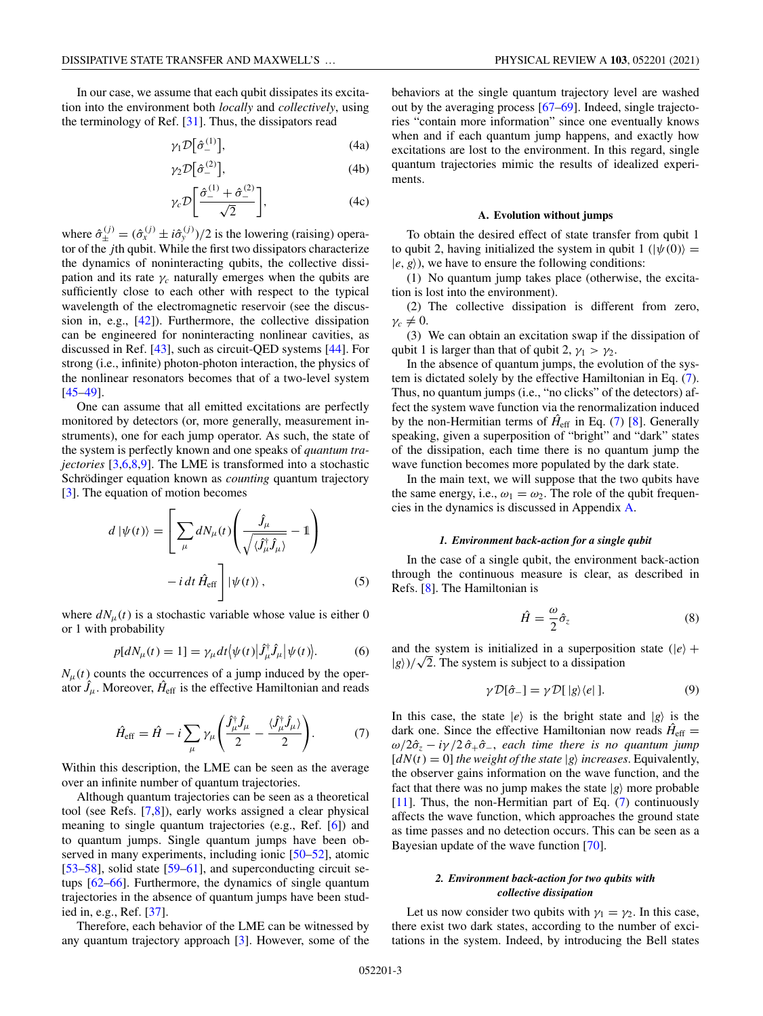<span id="page-2-0"></span>In our case, we assume that each qubit dissipates its excitation into the environment both *locally* and *collectively*, using the terminology of Ref. [\[31\]](#page-9-0). Thus, the dissipators read

$$
\gamma_1 \mathcal{D} \big[ \hat{\sigma}_-^{(1)} \big], \tag{4a}
$$

$$
\gamma_2 \mathcal{D}[\hat{\sigma}_-^{(2)}],\tag{4b}
$$

$$
\gamma_c \mathcal{D} \bigg[ \frac{\hat{\sigma}_-^{(1)} + \hat{\sigma}_-^{(2)}}{\sqrt{2}} \bigg], \tag{4c}
$$

where  $\hat{\sigma}_{\pm}^{(j)} = (\hat{\sigma}_x^{(j)} \pm i\hat{\sigma}_y^{(j)})/2$  is the lowering (raising) operator of the *j*th qubit. While the first two dissipators characterize the dynamics of noninteracting qubits, the collective dissipation and its rate  $\gamma_c$  naturally emerges when the qubits are sufficiently close to each other with respect to the typical wavelength of the electromagnetic reservoir (see the discussion in, e.g., [\[42\]](#page-10-0)). Furthermore, the collective dissipation can be engineered for noninteracting nonlinear cavities, as discussed in Ref. [\[43\]](#page-10-0), such as circuit-QED systems [\[44\]](#page-10-0). For strong (i.e., infinite) photon-photon interaction, the physics of the nonlinear resonators becomes that of a two-level system [\[45–49\]](#page-10-0).

One can assume that all emitted excitations are perfectly monitored by detectors (or, more generally, measurement instruments), one for each jump operator. As such, the state of the system is perfectly known and one speaks of *quantum trajectories* [\[3,6,8,9\]](#page-9-0). The LME is transformed into a stochastic Schrödinger equation known as *counting* quantum trajectory [\[3\]](#page-9-0). The equation of motion becomes

$$
d |\psi(t)\rangle = \left[ \sum_{\mu} dN_{\mu}(t) \left( \frac{\hat{J}_{\mu}}{\sqrt{\langle \hat{J}_{\mu}^{\dagger} \hat{J}_{\mu} \rangle}} - 1 \right) - i dt \hat{H}_{\text{eff}} \right] |\psi(t)\rangle , \qquad (5)
$$

where  $dN<sub>μ</sub>(t)$  is a stochastic variable whose value is either 0 or 1 with probability

$$
p[dN_{\mu}(t) = 1] = \gamma_{\mu} dt \langle \psi(t) | \hat{J}_{\mu}^{\dagger} \hat{J}_{\mu} | \psi(t) \rangle.
$$
 (6)

 $N_{\mu}(t)$  counts the occurrences of a jump induced by the operator  $\hat{J}_{\mu}$ . Moreover,  $\hat{H}_{\text{eff}}$  is the effective Hamiltonian and reads

$$
\hat{H}_{\text{eff}} = \hat{H} - i \sum_{\mu} \gamma_{\mu} \left( \frac{\hat{J}_{\mu}^{\dagger} \hat{J}_{\mu}}{2} - \frac{\langle \hat{J}_{\mu}^{\dagger} \hat{J}_{\mu} \rangle}{2} \right). \tag{7}
$$

Within this description, the LME can be seen as the average over an infinite number of quantum trajectories.

Although quantum trajectories can be seen as a theoretical tool (see Refs. [\[7,8\]](#page-9-0)), early works assigned a clear physical meaning to single quantum trajectories (e.g., Ref. [\[6\]](#page-9-0)) and to quantum jumps. Single quantum jumps have been observed in many experiments, including ionic [\[50–52\]](#page-10-0), atomic [\[53–58\]](#page-10-0), solid state [\[59–61\]](#page-10-0), and superconducting circuit setups [\[62–](#page-10-0)[66\]](#page-11-0). Furthermore, the dynamics of single quantum trajectories in the absence of quantum jumps have been studied in, e.g., Ref. [\[37\]](#page-10-0).

Therefore, each behavior of the LME can be witnessed by any quantum trajectory approach [\[3\]](#page-9-0). However, some of the behaviors at the single quantum trajectory level are washed out by the averaging process [\[67–69\]](#page-11-0). Indeed, single trajectories "contain more information" since one eventually knows when and if each quantum jump happens, and exactly how excitations are lost to the environment. In this regard, single quantum trajectories mimic the results of idealized experiments.

#### **A. Evolution without jumps**

To obtain the desired effect of state transfer from qubit 1 to qubit 2, having initialized the system in qubit  $1$  ( $|\psi(0)\rangle =$  $|e, g\rangle$ ), we have to ensure the following conditions:

(1) No quantum jump takes place (otherwise, the excitation is lost into the environment).

(2) The collective dissipation is different from zero,  $\gamma_c \neq 0$ .

(3) We can obtain an excitation swap if the dissipation of qubit 1 is larger than that of qubit 2,  $\gamma_1 > \gamma_2$ .

In the absence of quantum jumps, the evolution of the system is dictated solely by the effective Hamiltonian in Eq. (7). Thus, no quantum jumps (i.e., "no clicks" of the detectors) affect the system wave function via the renormalization induced by the non-Hermitian terms of  $\hat{H}_{\text{eff}}$  in Eq. (7) [\[8\]](#page-9-0). Generally speaking, given a superposition of "bright" and "dark" states of the dissipation, each time there is no quantum jump the wave function becomes more populated by the dark state.

In the main text, we will suppose that the two qubits have the same energy, i.e.,  $\omega_1 = \omega_2$ . The role of the qubit frequencies in the dynamics is discussed in Appendix [A.](#page-7-0)

#### *1. Environment back-action for a single qubit*

In the case of a single qubit, the environment back-action through the continuous measure is clear, as described in Refs. [\[8\]](#page-9-0). The Hamiltonian is

$$
\hat{H} = \frac{\omega}{2}\hat{\sigma}_z \tag{8}
$$

and the system is initialized in a superposition state ( $|e\rangle$  + and the system is initialized in a superposition  $|g\rangle$ )/ $\sqrt{2}$ . The system is subject to a dissipation

$$
\gamma \mathcal{D}[\hat{\sigma}_-] = \gamma \mathcal{D}[\,|g\rangle\langle e|\,].\tag{9}
$$

In this case, the state  $|e\rangle$  is the bright state and  $|g\rangle$  is the dark one. Since the effective Hamiltonian now reads  $H_{\text{eff}} =$  $\omega/2\hat{\sigma}_z - i\gamma/2\hat{\sigma}_+\hat{\sigma}_-,$  each time there is no quantum jump  $[dN(t) = 0]$  *the weight of the state*  $|g\rangle$  *increases*. Equivalently, the observer gains information on the wave function, and the fact that there was no jump makes the state  $|g\rangle$  more probable [\[11\]](#page-9-0). Thus, the non-Hermitian part of Eq. (7) continuously affects the wave function, which approaches the ground state as time passes and no detection occurs. This can be seen as a Bayesian update of the wave function [\[70\]](#page-11-0).

## *2. Environment back-action for two qubits with collective dissipation*

Let us now consider two qubits with  $\gamma_1 = \gamma_2$ . In this case, there exist two dark states, according to the number of excitations in the system. Indeed, by introducing the Bell states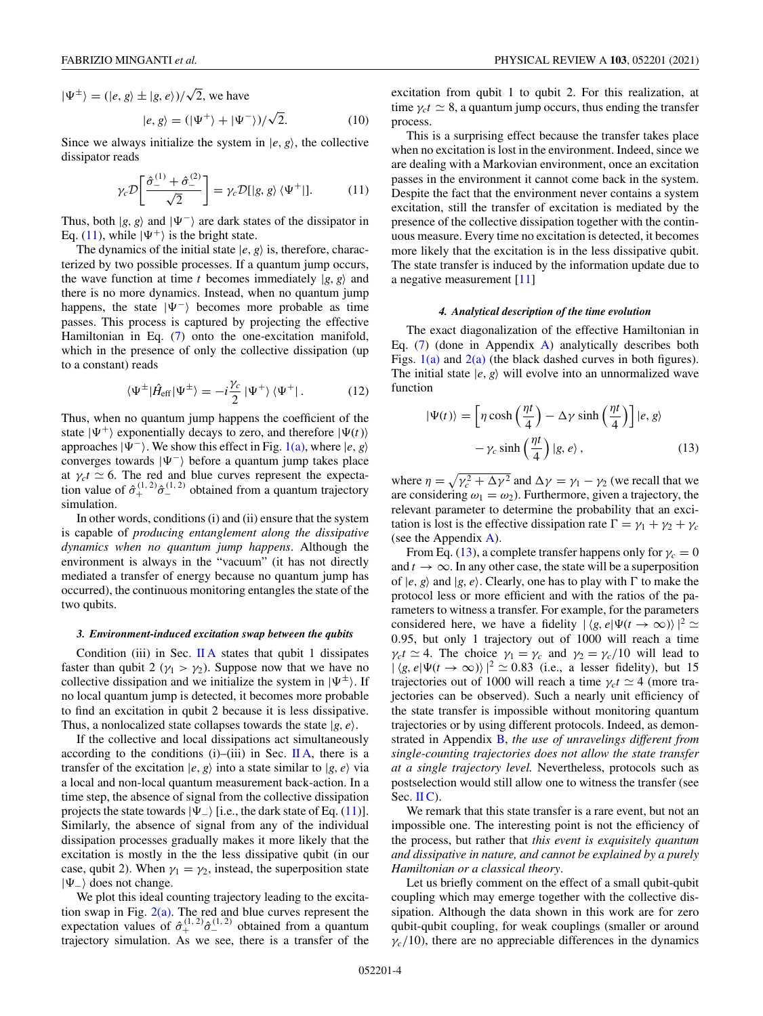<span id="page-3-0"></span> $|\Psi^{\pm}\rangle = (|e, g\rangle \pm |g, e\rangle)/\sqrt{2}$ , we have √

$$
|e, g\rangle = (|\Psi^+\rangle + |\Psi^-\rangle)/\sqrt{2}.
$$
 (10)

Since we always initialize the system in  $|e, g\rangle$ , the collective dissipator reads

$$
\gamma_c \mathcal{D} \bigg[ \frac{\hat{\sigma}_-^{(1)} + \hat{\sigma}_-^{(2)}}{\sqrt{2}} \bigg] = \gamma_c \mathcal{D} [|g, g\rangle \langle \Psi^+ |]. \tag{11}
$$

Thus, both  $|g, g\rangle$  and  $|\Psi^{-}\rangle$  are dark states of the dissipator in Eq. (11), while  $|\Psi^+\rangle$  is the bright state.

The dynamics of the initial state  $|e, g\rangle$  is, therefore, characterized by two possible processes. If a quantum jump occurs, the wave function at time *t* becomes immediately  $|g, g\rangle$  and there is no more dynamics. Instead, when no quantum jump happens, the state  $|\Psi^{-}\rangle$  becomes more probable as time passes. This process is captured by projecting the effective Hamiltonian in Eq. [\(7\)](#page-2-0) onto the one-excitation manifold, which in the presence of only the collective dissipation (up to a constant) reads

$$
\langle \Psi^{\pm} | \hat{H}_{\text{eff}} | \Psi^{\pm} \rangle = -i \frac{\gamma_c}{2} | \Psi^+ \rangle \langle \Psi^+ | . \tag{12}
$$

Thus, when no quantum jump happens the coefficient of the state  $|\Psi^+\rangle$  exponentially decays to zero, and therefore  $|\Psi(t)\rangle$ approaches  $|\Psi^-\rangle$ . We show this effect in Fig. [1\(a\),](#page-4-0) where  $|e, g\rangle$ converges towards  $|\Psi^{-}\rangle$  before a quantum jump takes place at  $\gamma_c t \simeq 6$ . The red and blue curves represent the expectation value of  $\hat{\sigma}_{+}^{(1,2)}\hat{\sigma}_{-}^{(1,2)}$  obtained from a quantum trajectory simulation.

In other words, conditions (i) and (ii) ensure that the system is capable of *producing entanglement along the dissipative dynamics when no quantum jump happens*. Although the environment is always in the "vacuum" (it has not directly mediated a transfer of energy because no quantum jump has occurred), the continuous monitoring entangles the state of the two qubits.

#### *3. Environment-induced excitation swap between the qubits*

Condition (iii) in Sec. [II A](#page-2-0) states that qubit 1 dissipates faster than qubit 2 ( $\gamma_1 > \gamma_2$ ). Suppose now that we have no collective dissipation and we initialize the system in  $|\Psi^{\pm}\rangle$ . If no local quantum jump is detected, it becomes more probable to find an excitation in qubit 2 because it is less dissipative. Thus, a nonlocalized state collapses towards the state  $|g, e\rangle$ .

If the collective and local dissipations act simultaneously according to the conditions (i)–(iii) in Sec. [II A,](#page-2-0) there is a transfer of the excitation  $|e, g\rangle$  into a state similar to  $|g, e\rangle$  via a local and non-local quantum measurement back-action. In a time step, the absence of signal from the collective dissipation projects the state towards  $|\Psi_-\rangle$  [i.e., the dark state of Eq. (11)]. Similarly, the absence of signal from any of the individual dissipation processes gradually makes it more likely that the excitation is mostly in the the less dissipative qubit (in our case, qubit 2). When  $\gamma_1 = \gamma_2$ , instead, the superposition state |−- does not change.

We plot this ideal counting trajectory leading to the excitation swap in Fig.  $2(a)$ . The red and blue curves represent the expectation values of  $\hat{\sigma}_{+}^{(1,2)}\hat{\sigma}_{-}^{(1,2)}$  obtained from a quantum trajectory simulation. As we see, there is a transfer of the

excitation from qubit 1 to qubit 2. For this realization, at time  $\gamma_c t \simeq 8$ , a quantum jump occurs, thus ending the transfer process.

This is a surprising effect because the transfer takes place when no excitation is lost in the environment. Indeed, since we are dealing with a Markovian environment, once an excitation passes in the environment it cannot come back in the system. Despite the fact that the environment never contains a system excitation, still the transfer of excitation is mediated by the presence of the collective dissipation together with the continuous measure. Every time no excitation is detected, it becomes more likely that the excitation is in the less dissipative qubit. The state transfer is induced by the information update due to a negative measurement [\[11\]](#page-9-0)

## *4. Analytical description of the time evolution*

The exact diagonalization of the effective Hamiltonian in Eq.  $(7)$  (done in Appendix [A\)](#page-7-0) analytically describes both Figs.  $1(a)$  and  $2(a)$  (the black dashed curves in both figures). The initial state  $|e, g\rangle$  will evolve into an unnormalized wave function

$$
|\Psi(t)\rangle = \left[\eta \cosh\left(\frac{\eta t}{4}\right) - \Delta \gamma \sinh\left(\frac{\eta t}{4}\right)\right] |e, g\rangle
$$

$$
-\gamma_c \sinh\left(\frac{\eta t}{4}\right) |g, e\rangle, \qquad (13)
$$

where  $\eta = \sqrt{\gamma_c^2 + \Delta \gamma^2}$  and  $\Delta \gamma = \gamma_1 - \gamma_2$  (we recall that we are considering  $\omega_1 = \omega_2$ ). Furthermore, given a trajectory, the relevant parameter to determine the probability that an excitation is lost is the effective dissipation rate  $\Gamma = \gamma_1 + \gamma_2 + \gamma_c$ (see the Appendix [A\)](#page-7-0).

From Eq. (13), a complete transfer happens only for  $\gamma_c = 0$ and  $t \to \infty$ . In any other case, the state will be a superposition of  $|e, g\rangle$  and  $|g, e\rangle$ . Clearly, one has to play with  $\Gamma$  to make the protocol less or more efficient and with the ratios of the parameters to witness a transfer. For example, for the parameters considered here, we have a fidelity  $|\langle g, e | \Psi(t \to \infty) \rangle|^2$   $\simeq$ 0.95, but only 1 trajectory out of 1000 will reach a time  $\gamma_c t \simeq 4$ . The choice  $\gamma_1 = \gamma_c$  and  $\gamma_2 = \gamma_c/10$  will lead to  $|\langle g, e | \Psi(t \to \infty) \rangle|^2 \simeq 0.83$  (i.e., a lesser fidelity), but 15 trajectories out of 1000 will reach a time  $\gamma_c t \simeq 4$  (more trajectories can be observed). Such a nearly unit efficiency of the state transfer is impossible without monitoring quantum trajectories or by using different protocols. Indeed, as demonstrated in Appendix [B,](#page-8-0) *the use of unravelings different from single-counting trajectories does not allow the state transfer at a single trajectory level.* Nevertheless, protocols such as postselection would still allow one to witness the transfer (see Sec.  $\mathbf{I}(\mathbf{C})$ .

We remark that this state transfer is a rare event, but not an impossible one. The interesting point is not the efficiency of the process, but rather that *this event is exquisitely quantum and dissipative in nature, and cannot be explained by a purely Hamiltonian or a classical theory*.

Let us briefly comment on the effect of a small qubit-qubit coupling which may emerge together with the collective dissipation. Although the data shown in this work are for zero qubit-qubit coupling, for weak couplings (smaller or around  $\gamma_c/10$ , there are no appreciable differences in the dynamics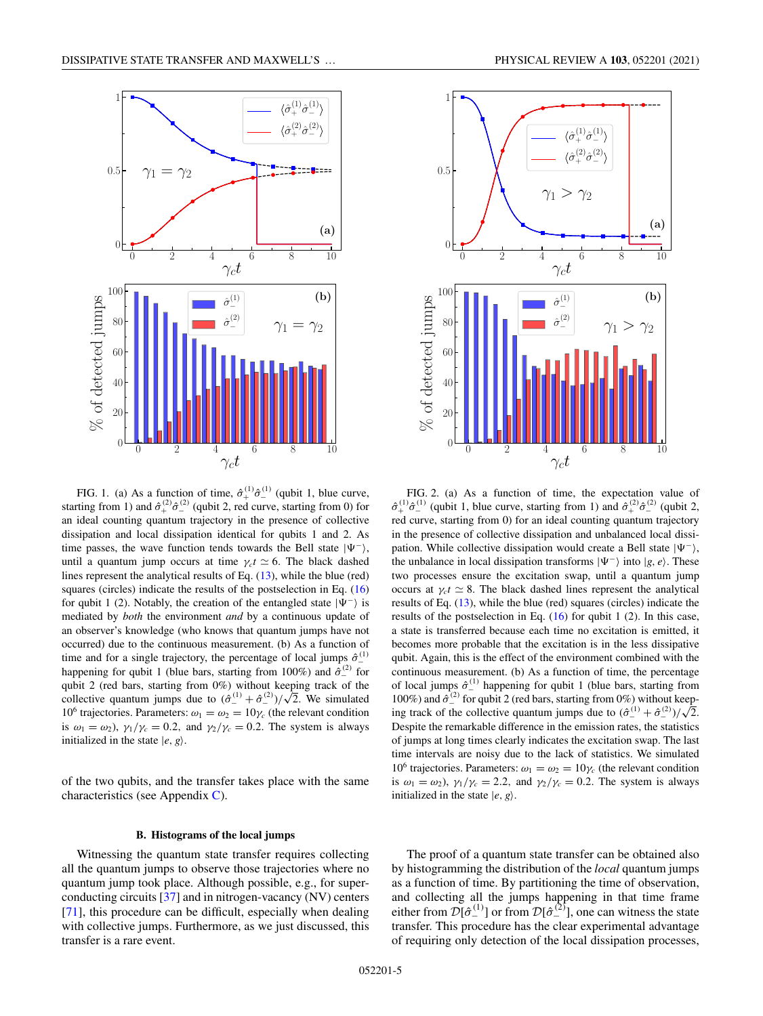<span id="page-4-0"></span>

FIG. 1. (a) As a function of time,  $\hat{\sigma}_{+}^{(1)}\hat{\sigma}_{-}^{(1)}$  (qubit 1, blue curve, starting from 1) and  $\hat{\sigma}_{+}^{(2)}\hat{\sigma}_{-}^{(2)}$  (qubit 2, red curve, starting from 0) for an ideal counting quantum trajectory in the presence of collective dissipation and local dissipation identical for qubits 1 and 2. As time passes, the wave function tends towards the Bell state  $|\Psi^{-}\rangle$ , until a quantum jump occurs at time  $\gamma_c t \simeq 6$ . The black dashed lines represent the analytical results of Eq. [\(13\)](#page-3-0), while the blue (red) squares (circles) indicate the results of the postselection in Eq. [\(16\)](#page-5-0) for qubit 1 (2). Notably, the creation of the entangled state  $|\Psi^{-}\rangle$  is mediated by *both* the environment *and* by a continuous update of an observer's knowledge (who knows that quantum jumps have not occurred) due to the continuous measurement. (b) As a function of time and for a single trajectory, the percentage of local jumps  $\hat{\sigma}_{-}^{(1)}$ happening for qubit 1 (blue bars, starting from 100%) and  $\hat{\sigma}^{\text{(2)}}$  for qubit 2 (red bars, starting from 0%) without keeping track of the qubit 2 (red bars, starting from 0%) without keeping track of the collective quantum jumps due to  $(\hat{\sigma}^{(1)}_- + \hat{\sigma}^{(2)}_-)/\sqrt{2}$ . We simulated 10<sup>6</sup> trajectories. Parameters:  $\omega_1 = \omega_2 = 10\gamma_c$  (the relevant condition is  $\omega_1 = \omega_2$ ),  $\gamma_1/\gamma_c = 0.2$ , and  $\gamma_2/\gamma_c = 0.2$ . The system is always initialized in the state  $|e, g\rangle$ .

of the two qubits, and the transfer takes place with the same characteristics (see Appendix [C\)](#page-8-0).

#### **B. Histograms of the local jumps**

Witnessing the quantum state transfer requires collecting all the quantum jumps to observe those trajectories where no quantum jump took place. Although possible, e.g., for superconducting circuits [\[37\]](#page-10-0) and in nitrogen-vacancy (NV) centers [\[71\]](#page-11-0), this procedure can be difficult, especially when dealing with collective jumps. Furthermore, as we just discussed, this transfer is a rare event.



FIG. 2. (a) As a function of time, the expectation value of  $\hat{\sigma}_{+}^{(1)}\hat{\sigma}_{-}^{(1)}$  (qubit 1, blue curve, starting from 1) and  $\hat{\sigma}_{+}^{(2)}\hat{\sigma}_{-}^{(2)}$  (qubit 2, red curve, starting from 0) for an ideal counting quantum trajectory in the presence of collective dissipation and unbalanced local dissipation. While collective dissipation would create a Bell state  $|\Psi^{-}\rangle$ , the unbalance in local dissipation transforms  $|\Psi^{-}\rangle$  into  $|g, e\rangle$ . These two processes ensure the excitation swap, until a quantum jump occurs at  $\gamma_c t \simeq 8$ . The black dashed lines represent the analytical results of Eq. [\(13\)](#page-3-0), while the blue (red) squares (circles) indicate the results of the postselection in Eq.  $(16)$  for qubit 1  $(2)$ . In this case, a state is transferred because each time no excitation is emitted, it becomes more probable that the excitation is in the less dissipative qubit. Again, this is the effect of the environment combined with the continuous measurement. (b) As a function of time, the percentage of local jumps  $\hat{\sigma}_{-}^{(1)}$  happening for qubit 1 (blue bars, starting from 100%) and  $\hat{\sigma}^{(2)}_{-}$  for qubit 2 (red bars, starting from 0%) without keeping track of the collective quantum jumps due to  $(\hat{\sigma}^{(1)}_+ + \hat{\sigma}^{(2)}_-)/\sqrt{2}$ . Despite the remarkable difference in the emission rates, the statistics of jumps at long times clearly indicates the excitation swap. The last time intervals are noisy due to the lack of statistics. We simulated 10<sup>6</sup> trajectories. Parameters:  $\omega_1 = \omega_2 = 10\gamma_c$  (the relevant condition is  $\omega_1 = \omega_2$ ,  $\gamma_1/\gamma_c = 2.2$ , and  $\gamma_2/\gamma_c = 0.2$ . The system is always initialized in the state  $|e, g\rangle$ .

The proof of a quantum state transfer can be obtained also by histogramming the distribution of the *local* quantum jumps as a function of time. By partitioning the time of observation, and collecting all the jumps happening in that time frame either from  $\mathcal{D}[\hat{\sigma}_{-}^{(1)}]$  or from  $\mathcal{D}[\hat{\sigma}_{-}^{(2)}]$ , one can witness the state transfer. This procedure has the clear experimental advantage of requiring only detection of the local dissipation processes,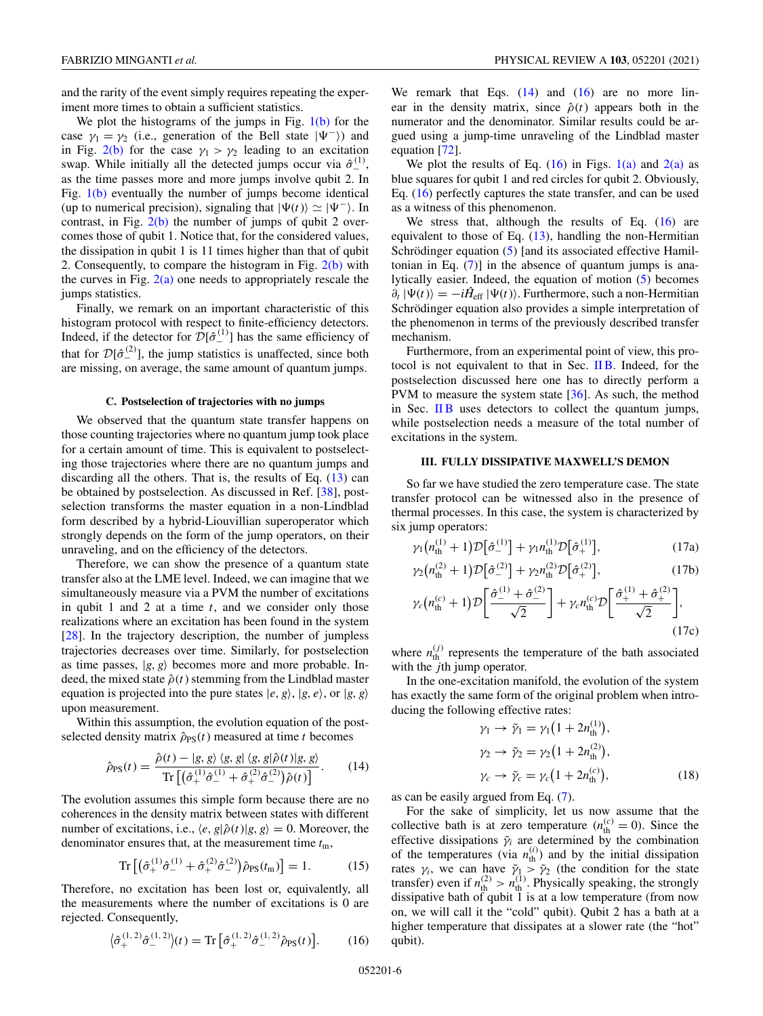<span id="page-5-0"></span>and the rarity of the event simply requires repeating the experiment more times to obtain a sufficient statistics.

We plot the histograms of the jumps in Fig.  $1(b)$  for the case  $\gamma_1 = \gamma_2$  (i.e., generation of the Bell state  $|\Psi^{-}\rangle$ ) and in Fig. [2\(b\)](#page-4-0) for the case  $\gamma_1 > \gamma_2$  leading to an excitation swap. While initially all the detected jumps occur via  $\hat{\sigma}_{-}^{(1)}$ , as the time passes more and more jumps involve qubit 2. In Fig. [1\(b\)](#page-4-0) eventually the number of jumps become identical (up to numerical precision), signaling that  $|\Psi(t)\rangle \simeq |\Psi^-\rangle$ . In contrast, in Fig. [2\(b\)](#page-4-0) the number of jumps of qubit 2 overcomes those of qubit 1. Notice that, for the considered values, the dissipation in qubit 1 is 11 times higher than that of qubit 2. Consequently, to compare the histogram in Fig.  $2(b)$  with the curves in Fig.  $2(a)$  one needs to appropriately rescale the jumps statistics.

Finally, we remark on an important characteristic of this histogram protocol with respect to finite-efficiency detectors. Indeed, if the detector for  $\mathcal{D}[\hat{\sigma}_{-}^{(1)}]$  has the same efficiency of that for  $\mathcal{D}[\hat{\sigma}_{-}^{(2)}]$ , the jump statistics is unaffected, since both are missing, on average, the same amount of quantum jumps.

#### **C. Postselection of trajectories with no jumps**

We observed that the quantum state transfer happens on those counting trajectories where no quantum jump took place for a certain amount of time. This is equivalent to postselecting those trajectories where there are no quantum jumps and discarding all the others. That is, the results of Eq.  $(13)$  can be obtained by postselection. As discussed in Ref. [\[38\]](#page-10-0), postselection transforms the master equation in a non-Lindblad form described by a hybrid-Liouvillian superoperator which strongly depends on the form of the jump operators, on their unraveling, and on the efficiency of the detectors.

Therefore, we can show the presence of a quantum state transfer also at the LME level. Indeed, we can imagine that we simultaneously measure via a PVM the number of excitations in qubit 1 and 2 at a time *t*, and we consider only those realizations where an excitation has been found in the system [\[28\]](#page-9-0). In the trajectory description, the number of jumpless trajectories decreases over time. Similarly, for postselection as time passes,  $|g, g\rangle$  becomes more and more probable. Indeed, the mixed state  $\hat{\rho}(t)$  stemming from the Lindblad master equation is projected into the pure states  $|e, g\rangle$ ,  $|g, e\rangle$ , or  $|g, g\rangle$ upon measurement.

Within this assumption, the evolution equation of the postselected density matrix  $\hat{\rho}_{PS}(t)$  measured at time *t* becomes

$$
\hat{\rho}_{PS}(t) = \frac{\hat{\rho}(t) - |g, g\rangle \langle g, g| \langle g, g|\hat{\rho}(t)|g, g\rangle}{\text{Tr}\left[\left(\hat{\sigma}_{+}^{(1)}\hat{\sigma}_{-}^{(1)} + \hat{\sigma}_{+}^{(2)}\hat{\sigma}_{-}^{(2)}\right)\hat{\rho}(t)\right]}.
$$
 (14)

The evolution assumes this simple form because there are no coherences in the density matrix between states with different number of excitations, i.e.,  $\langle e, g | \hat{\rho}(t) | g, g \rangle = 0$ . Moreover, the denominator ensures that, at the measurement time *t*m,

$$
\operatorname{Tr}\left[\left(\hat{\sigma}_{+}^{(1)}\hat{\sigma}_{-}^{(1)} + \hat{\sigma}_{+}^{(2)}\hat{\sigma}_{-}^{(2)}\right)\hat{\rho}_{\text{PS}}(t_{\text{m}})\right] = 1. \tag{15}
$$

Therefore, no excitation has been lost or, equivalently, all the measurements where the number of excitations is 0 are rejected. Consequently,

$$
\left\langle \hat{\sigma}_{+}^{(1,2)} \hat{\sigma}_{-}^{(1,2)} \right\rangle(t) = \text{Tr} \left[ \hat{\sigma}_{+}^{(1,2)} \hat{\sigma}_{-}^{(1,2)} \hat{\rho}_{\text{PS}}(t) \right]. \tag{16}
$$

We remark that Eqs.  $(14)$  and  $(16)$  are no more linear in the density matrix, since  $\hat{\rho}(t)$  appears both in the numerator and the denominator. Similar results could be argued using a jump-time unraveling of the Lindblad master equation [\[72\]](#page-11-0).

We plot the results of Eq.  $(16)$  in Figs.  $1(a)$  and  $2(a)$  as blue squares for qubit 1 and red circles for qubit 2. Obviously, Eq. (16) perfectly captures the state transfer, and can be used as a witness of this phenomenon.

We stress that, although the results of Eq. (16) are equivalent to those of Eq.  $(13)$ , handling the non-Hermitian Schrödinger equation [\(5\)](#page-2-0) [and its associated effective Hamiltonian in Eq.  $(7)$ ] in the absence of quantum jumps is analytically easier. Indeed, the equation of motion [\(5\)](#page-2-0) becomes  $\partial_t |\Psi(t)\rangle = -i\hat{H}_{\text{eff}} |\Psi(t)\rangle$ . Furthermore, such a non-Hermitian Schrödinger equation also provides a simple interpretation of the phenomenon in terms of the previously described transfer mechanism.

Furthermore, from an experimental point of view, this protocol is not equivalent to that in Sec. [II B.](#page-4-0) Indeed, for the postselection discussed here one has to directly perform a PVM to measure the system state  $[36]$ . As such, the method in Sec. IIB uses detectors to collect the quantum jumps, while postselection needs a measure of the total number of excitations in the system.

## **III. FULLY DISSIPATIVE MAXWELL'S DEMON**

So far we have studied the zero temperature case. The state transfer protocol can be witnessed also in the presence of thermal processes. In this case, the system is characterized by six jump operators:

$$
\gamma_1 \big( n_{\rm th}^{(1)} + 1 \big) \mathcal{D} \big[ \hat{\sigma}_{-}^{(1)} \big] + \gamma_1 n_{\rm th}^{(1)} \mathcal{D} \big[ \hat{\sigma}_{+}^{(1)} \big], \tag{17a}
$$

$$
\gamma_2 \big( n_{\rm th}^{(2)} + 1 \big) \mathcal{D} \big[ \hat{\sigma}_{-}^{(2)} \big] + \gamma_2 n_{\rm th}^{(2)} \mathcal{D} \big[ \hat{\sigma}_{+}^{(2)} \big],\tag{17b}
$$

$$
\gamma_c (n_{\rm th}^{(c)} + 1) \mathcal{D} \left[ \frac{\hat{\sigma}_{-}^{(1)} + \hat{\sigma}_{-}^{(2)}}{\sqrt{2}} \right] + \gamma_c n_{\rm th}^{(c)} \mathcal{D} \left[ \frac{\hat{\sigma}_{+}^{(1)} + \hat{\sigma}_{+}^{(2)}}{\sqrt{2}} \right],
$$
\n(17c)

where  $n_{\text{th}}^{(j)}$  represents the temperature of the bath associated with the *j*th jump operator.

In the one-excitation manifold, the evolution of the system has exactly the same form of the original problem when introducing the following effective rates:

$$
\gamma_1 \to \tilde{\gamma}_1 = \gamma_1 (1 + 2n_{\text{th}}^{(1)}), \n\gamma_2 \to \tilde{\gamma}_2 = \gamma_2 (1 + 2n_{\text{th}}^{(2)}), \n\gamma_c \to \tilde{\gamma}_c = \gamma_c (1 + 2n_{\text{th}}^{(c)}),
$$
\n(18)

as can be easily argued from Eq. [\(7\)](#page-2-0).

For the sake of simplicity, let us now assume that the collective bath is at zero temperature  $(n_{\text{th}}^{(c)} = 0)$ . Since the effective dissipations  $\tilde{\gamma}_i$  are determined by the combination of the temperatures (via  $n_{\text{th}}^{(i)}$ ) and by the initial dissipation rates  $\gamma_i$ , we can have  $\tilde{\gamma}_1 > \tilde{\gamma}_2$  (the condition for the state transfer) even if  $n_{\text{th}}^{(2)} > n_{\text{th}}^{(1)}$ . Physically speaking, the strongly dissipative bath of qubit 1 is at a low temperature (from now on, we will call it the "cold" qubit). Qubit 2 has a bath at a higher temperature that dissipates at a slower rate (the "hot" qubit).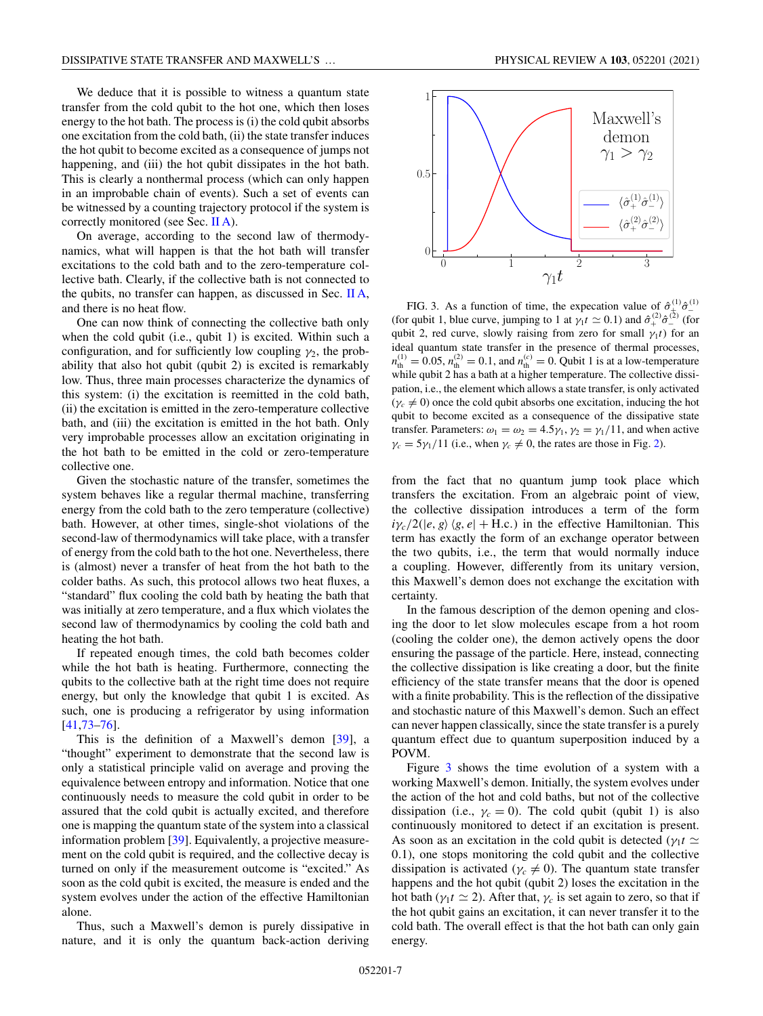We deduce that it is possible to witness a quantum state transfer from the cold qubit to the hot one, which then loses energy to the hot bath. The process is (i) the cold qubit absorbs one excitation from the cold bath, (ii) the state transfer induces the hot qubit to become excited as a consequence of jumps not happening, and (iii) the hot qubit dissipates in the hot bath. This is clearly a nonthermal process (which can only happen in an improbable chain of events). Such a set of events can be witnessed by a counting trajectory protocol if the system is correctly monitored (see Sec. [II A\)](#page-2-0).

On average, according to the second law of thermodynamics, what will happen is that the hot bath will transfer excitations to the cold bath and to the zero-temperature collective bath. Clearly, if the collective bath is not connected to the qubits, no transfer can happen, as discussed in Sec. [II A,](#page-2-0) and there is no heat flow.

One can now think of connecting the collective bath only when the cold qubit (i.e., qubit 1) is excited. Within such a configuration, and for sufficiently low coupling  $\gamma_2$ , the probability that also hot qubit (qubit 2) is excited is remarkably low. Thus, three main processes characterize the dynamics of this system: (i) the excitation is reemitted in the cold bath, (ii) the excitation is emitted in the zero-temperature collective bath, and (iii) the excitation is emitted in the hot bath. Only very improbable processes allow an excitation originating in the hot bath to be emitted in the cold or zero-temperature collective one.

Given the stochastic nature of the transfer, sometimes the system behaves like a regular thermal machine, transferring energy from the cold bath to the zero temperature (collective) bath. However, at other times, single-shot violations of the second-law of thermodynamics will take place, with a transfer of energy from the cold bath to the hot one. Nevertheless, there is (almost) never a transfer of heat from the hot bath to the colder baths. As such, this protocol allows two heat fluxes, a "standard" flux cooling the cold bath by heating the bath that was initially at zero temperature, and a flux which violates the second law of thermodynamics by cooling the cold bath and heating the hot bath.

If repeated enough times, the cold bath becomes colder while the hot bath is heating. Furthermore, connecting the qubits to the collective bath at the right time does not require energy, but only the knowledge that qubit 1 is excited. As such, one is producing a refrigerator by using information [\[41](#page-10-0)[,73–76\]](#page-11-0).

This is the definition of a Maxwell's demon [\[39\]](#page-10-0), a "thought" experiment to demonstrate that the second law is only a statistical principle valid on average and proving the equivalence between entropy and information. Notice that one continuously needs to measure the cold qubit in order to be assured that the cold qubit is actually excited, and therefore one is mapping the quantum state of the system into a classical information problem [\[39\]](#page-10-0). Equivalently, a projective measurement on the cold qubit is required, and the collective decay is turned on only if the measurement outcome is "excited." As soon as the cold qubit is excited, the measure is ended and the system evolves under the action of the effective Hamiltonian alone.

Thus, such a Maxwell's demon is purely dissipative in nature, and it is only the quantum back-action deriving



FIG. 3. As a function of time, the expecation value of  $\hat{\sigma}_{+}^{(1)}\hat{\sigma}_{-}^{(1)}$ (for qubit 1, blue curve, jumping to 1 at  $\gamma_1 t \simeq 0.1$ ) and  $\hat{\sigma}_+^{(2)} \hat{\sigma}_-^{(2)}$  (for qubit 2, red curve, slowly raising from zero for small  $\gamma_1 t$ ) for an ideal quantum state transfer in the presence of thermal processes,  $n_{\text{th}}^{(1)} = 0.05$ ,  $n_{\text{th}}^{(2)} = 0.1$ , and  $n_{\text{th}}^{(c)} = 0$ . Qubit 1 is at a low-temperature while qubit 2 has a bath at a higher temperature. The collective dissipation, i.e., the element which allows a state transfer, is only activated  $(\gamma_c \neq 0)$  once the cold qubit absorbs one excitation, inducing the hot qubit to become excited as a consequence of the dissipative state transfer. Parameters:  $\omega_1 = \omega_2 = 4.5\gamma_1$ ,  $\gamma_2 = \gamma_1/11$ , and when active  $\gamma_c = 5\gamma_1/11$  (i.e., when  $\gamma_c \neq 0$ , the rates are those in Fig. [2\)](#page-4-0).

from the fact that no quantum jump took place which transfers the excitation. From an algebraic point of view, the collective dissipation introduces a term of the form  $i\gamma_c/2(|e, g\rangle\langle g, e| + \text{H.c.})$  in the effective Hamiltonian. This term has exactly the form of an exchange operator between the two qubits, i.e., the term that would normally induce a coupling. However, differently from its unitary version, this Maxwell's demon does not exchange the excitation with certainty.

In the famous description of the demon opening and closing the door to let slow molecules escape from a hot room (cooling the colder one), the demon actively opens the door ensuring the passage of the particle. Here, instead, connecting the collective dissipation is like creating a door, but the finite efficiency of the state transfer means that the door is opened with a finite probability. This is the reflection of the dissipative and stochastic nature of this Maxwell's demon. Such an effect can never happen classically, since the state transfer is a purely quantum effect due to quantum superposition induced by a POVM.

Figure 3 shows the time evolution of a system with a working Maxwell's demon. Initially, the system evolves under the action of the hot and cold baths, but not of the collective dissipation (i.e.,  $\gamma_c = 0$ ). The cold qubit (qubit 1) is also continuously monitored to detect if an excitation is present. As soon as an excitation in the cold qubit is detected ( $\gamma_1 t \simeq$ 0.1), one stops monitoring the cold qubit and the collective dissipation is activated ( $\gamma_c \neq 0$ ). The quantum state transfer happens and the hot qubit (qubit 2) loses the excitation in the hot bath ( $\gamma_1 t \simeq 2$ ). After that,  $\gamma_c$  is set again to zero, so that if the hot qubit gains an excitation, it can never transfer it to the cold bath. The overall effect is that the hot bath can only gain energy.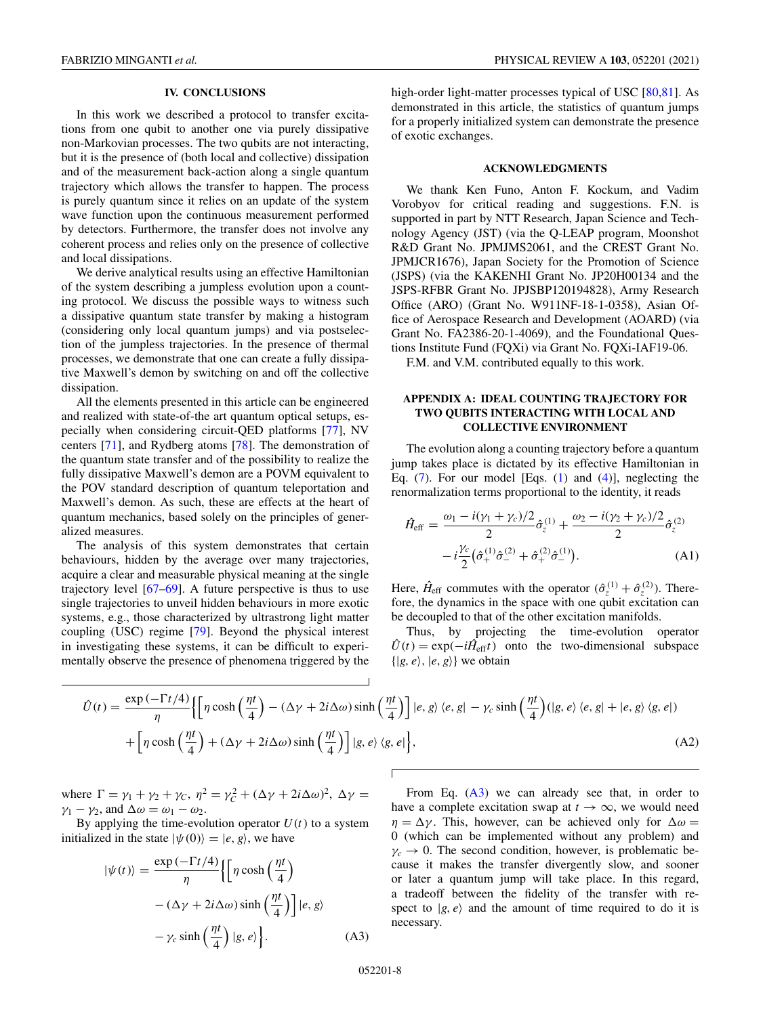## **IV. CONCLUSIONS**

<span id="page-7-0"></span>In this work we described a protocol to transfer excitations from one qubit to another one via purely dissipative non-Markovian processes. The two qubits are not interacting, but it is the presence of (both local and collective) dissipation and of the measurement back-action along a single quantum trajectory which allows the transfer to happen. The process is purely quantum since it relies on an update of the system wave function upon the continuous measurement performed by detectors. Furthermore, the transfer does not involve any coherent process and relies only on the presence of collective and local dissipations.

We derive analytical results using an effective Hamiltonian of the system describing a jumpless evolution upon a counting protocol. We discuss the possible ways to witness such a dissipative quantum state transfer by making a histogram (considering only local quantum jumps) and via postselection of the jumpless trajectories. In the presence of thermal processes, we demonstrate that one can create a fully dissipative Maxwell's demon by switching on and off the collective dissipation.

All the elements presented in this article can be engineered and realized with state-of-the art quantum optical setups, especially when considering circuit-QED platforms [\[77\]](#page-11-0), NV centers [\[71\]](#page-11-0), and Rydberg atoms [\[78\]](#page-11-0). The demonstration of the quantum state transfer and of the possibility to realize the fully dissipative Maxwell's demon are a POVM equivalent to the POV standard description of quantum teleportation and Maxwell's demon. As such, these are effects at the heart of quantum mechanics, based solely on the principles of generalized measures.

The analysis of this system demonstrates that certain behaviours, hidden by the average over many trajectories, acquire a clear and measurable physical meaning at the single trajectory level [\[67–69\]](#page-11-0). A future perspective is thus to use single trajectories to unveil hidden behaviours in more exotic systems, e.g., those characterized by ultrastrong light matter coupling (USC) regime [\[79\]](#page-11-0). Beyond the physical interest in investigating these systems, it can be difficult to experimentally observe the presence of phenomena triggered by the high-order light-matter processes typical of USC [\[80,81\]](#page-11-0). As demonstrated in this article, the statistics of quantum jumps for a properly initialized system can demonstrate the presence of exotic exchanges.

#### **ACKNOWLEDGMENTS**

We thank Ken Funo, Anton F. Kockum, and Vadim Vorobyov for critical reading and suggestions. F.N. is supported in part by NTT Research, Japan Science and Technology Agency (JST) (via the Q-LEAP program, Moonshot R&D Grant No. JPMJMS2061, and the CREST Grant No. JPMJCR1676), Japan Society for the Promotion of Science (JSPS) (via the KAKENHI Grant No. JP20H00134 and the JSPS-RFBR Grant No. JPJSBP120194828), Army Research Office (ARO) (Grant No. W911NF-18-1-0358), Asian Office of Aerospace Research and Development (AOARD) (via Grant No. FA2386-20-1-4069), and the Foundational Questions Institute Fund (FQXi) via Grant No. FQXi-IAF19-06.

F.M. and V.M. contributed equally to this work.

## **APPENDIX A: IDEAL COUNTING TRAJECTORY FOR TWO QUBITS INTERACTING WITH LOCAL AND COLLECTIVE ENVIRONMENT**

The evolution along a counting trajectory before a quantum jump takes place is dictated by its effective Hamiltonian in Eq.  $(7)$ . For our model [Eqs.  $(1)$  and  $(4)$ ], neglecting the renormalization terms proportional to the identity, it reads

$$
\hat{H}_{\text{eff}} = \frac{\omega_1 - i(\gamma_1 + \gamma_c)/2}{2} \hat{\sigma}_z^{(1)} + \frac{\omega_2 - i(\gamma_2 + \gamma_c)/2}{2} \hat{\sigma}_z^{(2)} \n- i\frac{\gamma_c}{2} \left(\hat{\sigma}_+^{(1)} \hat{\sigma}_-^{(2)} + \hat{\sigma}_+^{(2)} \hat{\sigma}_-^{(1)}\right).
$$
\n(A1)

Here,  $\hat{H}_{\text{eff}}$  commutes with the operator  $(\hat{\sigma}_z^{(1)} + \hat{\sigma}_z^{(2)})$ . Therefore, the dynamics in the space with one qubit excitation can be decoupled to that of the other excitation manifolds.

Thus, by projecting the time-evolution operator  $U(t) = \exp(-i\hat{H}_{\text{eff}}t)$  onto the two-dimensional subspace  $\{|g, e\rangle, |e, g\rangle\}$  we obtain

$$
\hat{U}(t) = \frac{\exp\left(-\Gamma t/4\right)}{\eta} \Biggl\{ \Biggl[ \eta \cosh\left(\frac{\eta t}{4}\right) - \left(\Delta \gamma + 2i\Delta \omega\right) \sinh\left(\frac{\eta t}{4}\right) \Biggr] |e, g\rangle \langle e, g| - \gamma_c \sinh\left(\frac{\eta t}{4}\right) (|g, e\rangle \langle e, g| + |e, g\rangle \langle g, e|)
$$

$$
+ \Biggl[ \eta \cosh\left(\frac{\eta t}{4}\right) + \left(\Delta \gamma + 2i\Delta \omega\right) \sinh\left(\frac{\eta t}{4}\right) \Biggr] |g, e\rangle \langle g, e| \Biggr\},\tag{A2}
$$

where  $\Gamma = \gamma_1 + \gamma_2 + \gamma_C$ ,  $\eta^2 = \gamma_C^2 + (\Delta \gamma + 2i\Delta \omega)^2$ ,  $\Delta \gamma =$  $\gamma_1 - \gamma_2$ , and  $\Delta \omega = \omega_1 - \omega_2$ .

By applying the time-evolution operator  $U(t)$  to a system initialized in the state  $|\psi(0)\rangle = |e, g\rangle$ , we have

$$
|\psi(t)\rangle = \frac{\exp(-\Gamma t/4)}{\eta} \Biggl\{ \Biggl[ \eta \cosh\left(\frac{\eta t}{4}\right) - (\Delta \gamma + 2i\Delta \omega) \sinh\left(\frac{\eta t}{4}\right) \Biggr] |e, g\rangle - \gamma_c \sinh\left(\frac{\eta t}{4}\right) |g, e\rangle \Biggr\}.
$$
 (A3)

From Eq.  $(A3)$  we can already see that, in order to have a complete excitation swap at  $t \to \infty$ , we would need  $\eta = \Delta \gamma$ . This, however, can be achieved only for  $\Delta \omega =$ 0 (which can be implemented without any problem) and  $\gamma_c \rightarrow 0$ . The second condition, however, is problematic because it makes the transfer divergently slow, and sooner or later a quantum jump will take place. In this regard, a tradeoff between the fidelity of the transfer with respect to  $|g, e\rangle$  and the amount of time required to do it is necessary.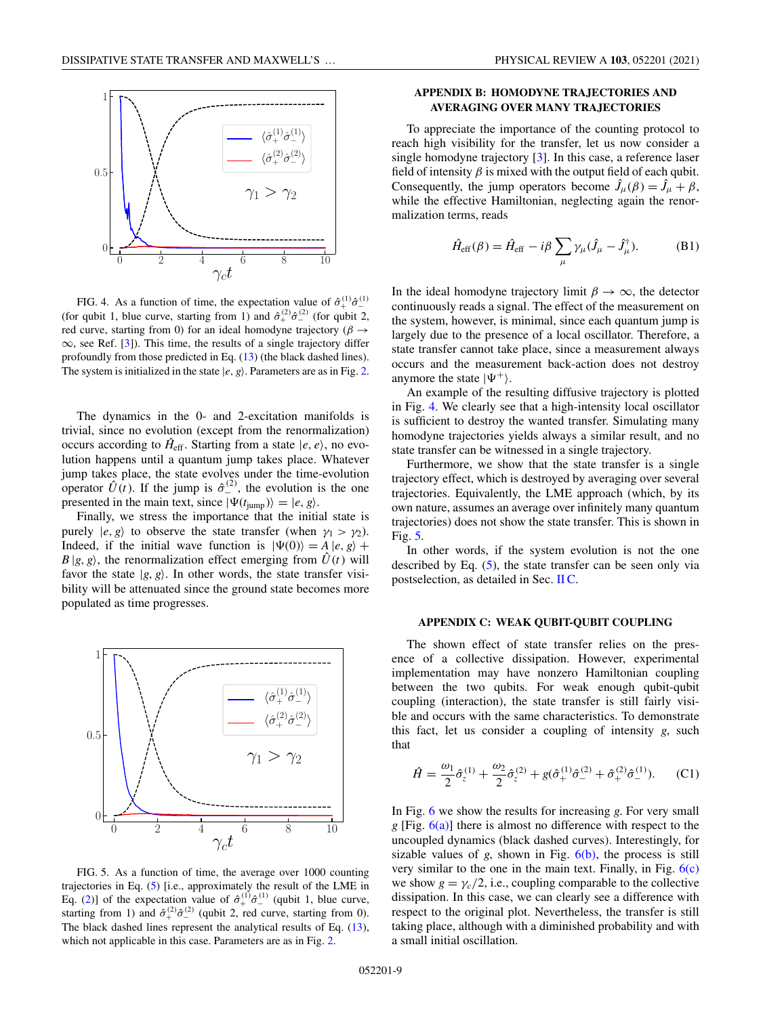<span id="page-8-0"></span>

FIG. 4. As a function of time, the expectation value of  $\hat{\sigma}_{+}^{(1)}\hat{\sigma}_{-}^{(1)}$ (for qubit 1, blue curve, starting from 1) and  $\hat{\sigma}_{+}^{(2)}\hat{\sigma}_{-}^{(2)}$  (for qubit 2, red curve, starting from 0) for an ideal homodyne trajectory ( $\beta \rightarrow$  $\infty$ , see Ref. [\[3\]](#page-9-0)). This time, the results of a single trajectory differ profoundly from those predicted in Eq. [\(13\)](#page-3-0) (the black dashed lines). The system is initialized in the state  $|e, g\rangle$ . Parameters are as in Fig. [2.](#page-4-0)

The dynamics in the 0- and 2-excitation manifolds is trivial, since no evolution (except from the renormalization) occurs according to  $\hat{H}_{\text{eff}}$ . Starting from a state  $|e, e\rangle$ , no evolution happens until a quantum jump takes place. Whatever jump takes place, the state evolves under the time-evolution operator  $\hat{U}(t)$ . If the jump is  $\hat{\sigma}_-^{(2)}$ , the evolution is the one presented in the main text, since  $|\Psi(t_{\text{jump}})\rangle = |e, g\rangle$ .

Finally, we stress the importance that the initial state is purely  $|e, g\rangle$  to observe the state transfer (when  $\gamma_1 > \gamma_2$ ). Indeed, if the initial wave function is  $|\Psi(0)\rangle = A |e, g\rangle +$  $B | g, g \rangle$ , the renormalization effect emerging from  $\hat{U}(t)$  will favor the state  $|g, g\rangle$ . In other words, the state transfer visibility will be attenuated since the ground state becomes more populated as time progresses.



FIG. 5. As a function of time, the average over 1000 counting trajectories in Eq. [\(5\)](#page-2-0) [i.e., approximately the result of the LME in Eq. [\(2\)](#page-1-0)] of the expectation value of  $\hat{\sigma}_{+}^{(1)}\hat{\sigma}_{-}^{(1)}$  (qubit 1, blue curve, starting from 1) and  $\hat{\sigma}_{+}^{(2)}\hat{\sigma}_{-}^{(2)}$  (qubit 2, red curve, starting from 0). The black dashed lines represent the analytical results of Eq. [\(13\)](#page-3-0), which not applicable in this case. Parameters are as in Fig. [2.](#page-4-0)

## **APPENDIX B: HOMODYNE TRAJECTORIES AND AVERAGING OVER MANY TRAJECTORIES**

To appreciate the importance of the counting protocol to reach high visibility for the transfer, let us now consider a single homodyne trajectory [\[3\]](#page-9-0). In this case, a reference laser field of intensity  $\beta$  is mixed with the output field of each qubit. Consequently, the jump operators become  $\hat{J}_\mu(\beta) = \hat{J}_\mu + \beta$ , while the effective Hamiltonian, neglecting again the renormalization terms, reads

$$
\hat{H}_{\rm eff}(\beta) = \hat{H}_{\rm eff} - i\beta \sum_{\mu} \gamma_{\mu} (\hat{J}_{\mu} - \hat{J}_{\mu}^{\dagger}).
$$
 (B1)

In the ideal homodyne trajectory limit  $\beta \to \infty$ , the detector continuously reads a signal. The effect of the measurement on the system, however, is minimal, since each quantum jump is largely due to the presence of a local oscillator. Therefore, a state transfer cannot take place, since a measurement always occurs and the measurement back-action does not destroy anymore the state  $|\Psi^+\rangle$ .

An example of the resulting diffusive trajectory is plotted in Fig. 4. We clearly see that a high-intensity local oscillator is sufficient to destroy the wanted transfer. Simulating many homodyne trajectories yields always a similar result, and no state transfer can be witnessed in a single trajectory.

Furthermore, we show that the state transfer is a single trajectory effect, which is destroyed by averaging over several trajectories. Equivalently, the LME approach (which, by its own nature, assumes an average over infinitely many quantum trajectories) does not show the state transfer. This is shown in Fig. 5.

In other words, if the system evolution is not the one described by Eq. [\(5\)](#page-2-0), the state transfer can be seen only via postselection, as detailed in Sec. [II C.](#page-5-0)

#### **APPENDIX C: WEAK QUBIT-QUBIT COUPLING**

The shown effect of state transfer relies on the presence of a collective dissipation. However, experimental implementation may have nonzero Hamiltonian coupling between the two qubits. For weak enough qubit-qubit coupling (interaction), the state transfer is still fairly visible and occurs with the same characteristics. To demonstrate this fact, let us consider a coupling of intensity *g*, such that

$$
\hat{H} = \frac{\omega_1}{2} \hat{\sigma}_z^{(1)} + \frac{\omega_2}{2} \hat{\sigma}_z^{(2)} + g(\hat{\sigma}_+^{(1)} \hat{\sigma}_-^{(2)} + \hat{\sigma}_+^{(2)} \hat{\sigma}_-^{(1)}).
$$
 (C1)

In Fig. [6](#page-9-0) we show the results for increasing *g*. For very small *g* [Fig. [6\(a\)\]](#page-9-0) there is almost no difference with respect to the uncoupled dynamics (black dashed curves). Interestingly, for sizable values of  $g$ , shown in Fig.  $6(b)$ , the process is still very similar to the one in the main text. Finally, in Fig.  $6(c)$ we show  $g = \gamma_c/2$ , i.e., coupling comparable to the collective dissipation. In this case, we can clearly see a difference with respect to the original plot. Nevertheless, the transfer is still taking place, although with a diminished probability and with a small initial oscillation.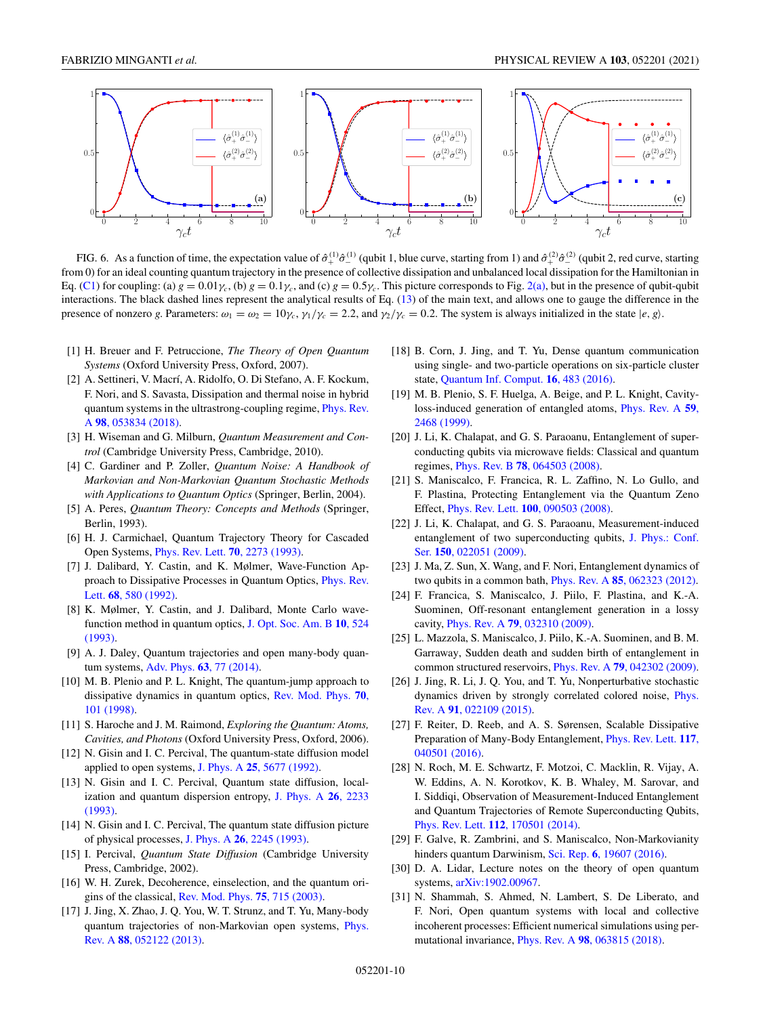<span id="page-9-0"></span>

FIG. 6. As a function of time, the expectation value of  $\hat{\sigma}_+^{(1)}\hat{\sigma}_-^{(1)}$  (qubit 1, blue curve, starting from 1) and  $\hat{\sigma}_+^{(2)}\hat{\sigma}_-^{(2)}$  (qubit 2, red curve, starting from 0) for an ideal counting quantum trajectory in the presence of collective dissipation and unbalanced local dissipation for the Hamiltonian in Eq. [\(C1\)](#page-8-0) for coupling: (a)  $g = 0.01\gamma_c$ , (b)  $g = 0.1\gamma_c$ , and (c)  $g = 0.5\gamma_c$ . This picture corresponds to Fig. [2\(a\),](#page-4-0) but in the presence of qubit-qubit interactions. The black dashed lines represent the analytical results of Eq. [\(13\)](#page-3-0) of the main text, and allows one to gauge the difference in the presence of nonzero *g*. Parameters:  $\omega_1 = \omega_2 = 10\gamma_c$ ,  $\gamma_1/\gamma_c = 2.2$ , and  $\gamma_2/\gamma_c = 0.2$ . The system is always initialized in the state  $|e, g\rangle$ .

- [1] H. Breuer and F. Petruccione, *The Theory of Open Quantum Systems* (Oxford University Press, Oxford, 2007).
- [2] A. Settineri, V. Macrí, A. Ridolfo, O. Di Stefano, A. F. Kockum, F. Nori, and S. Savasta, Dissipation and thermal noise in hybrid [quantum systems in the ultrastrong-coupling regime,](https://doi.org/10.1103/PhysRevA.98.053834) Phys. Rev. A **98**, 053834 (2018).
- [3] H. Wiseman and G. Milburn, *Quantum Measurement and Control* (Cambridge University Press, Cambridge, 2010).
- [4] C. Gardiner and P. Zoller, *Quantum Noise: A Handbook of Markovian and Non-Markovian Quantum Stochastic Methods with Applications to Quantum Optics* (Springer, Berlin, 2004).
- [5] A. Peres, *Quantum Theory: Concepts and Methods* (Springer, Berlin, 1993).
- [6] H. J. Carmichael, Quantum Trajectory Theory for Cascaded Open Systems, [Phys. Rev. Lett.](https://doi.org/10.1103/PhysRevLett.70.2273) **70**, 2273 (1993).
- [7] J. Dalibard, Y. Castin, and K. Mølmer, Wave-Function Ap[proach to Dissipative Processes in Quantum Optics,](https://doi.org/10.1103/PhysRevLett.68.580) Phys. Rev. Lett. **68**, 580 (1992).
- [8] K. Mølmer, Y. Castin, and J. Dalibard, Monte Carlo wave[function method in quantum optics,](https://doi.org/10.1364/JOSAB.10.000524) J. Opt. Soc. Am. B **10**, 524 (1993).
- [9] A. J. Daley, Quantum trajectories and open many-body quantum systems, Adv. Phys. **63**[, 77 \(2014\).](https://doi.org/10.1080/00018732.2014.933502)
- [10] M. B. Plenio and P. L. Knight, The quantum-jump approach to [dissipative dynamics in quantum optics,](https://doi.org/10.1103/RevModPhys.70.101) Rev. Mod. Phys. **70**, 101 (1998).
- [11] S. Haroche and J. M. Raimond, *Exploring the Quantum: Atoms, Cavities, and Photons* (Oxford University Press, Oxford, 2006).
- [12] N. Gisin and I. C. Percival, The quantum-state diffusion model applied to open systems, J. Phys. A **25**[, 5677 \(1992\).](https://doi.org/10.1088/0305-4470/25/21/023)
- [13] N. Gisin and I. C. Percival, Quantum state diffusion, local[ization and quantum dispersion entropy,](https://doi.org/10.1088/0305-4470/26/9/018) J. Phys. A **26**, 2233 (1993).
- [14] N. Gisin and I. C. Percival, The quantum state diffusion picture of physical processes, J. Phys. A **26**[, 2245 \(1993\).](https://doi.org/10.1088/0305-4470/26/9/019)
- [15] I. Percival, *Quantum State Diffusion* (Cambridge University Press, Cambridge, 2002).
- [16] W. H. Zurek, Decoherence, einselection, and the quantum origins of the classical, [Rev. Mod. Phys.](https://doi.org/10.1103/RevModPhys.75.715) **75**, 715 (2003).
- [17] J. Jing, X. Zhao, J. Q. You, W. T. Strunz, and T. Yu, Many-body [quantum trajectories of non-Markovian open systems,](https://doi.org/10.1103/PhysRevA.88.052122) Phys. Rev. A **88**, 052122 (2013).
- [18] B. Corn, J. Jing, and T. Yu, Dense quantum communication using single- and two-particle operations on six-particle cluster state, [Quantum Inf. Comput.](https://doi.org/10.26421/QIC16.5-6-5) **16**, 483 (2016).
- [19] M. B. Plenio, S. F. Huelga, A. Beige, and P. L. Knight, Cavity[loss-induced generation of entangled atoms,](https://doi.org/10.1103/PhysRevA.59.2468) Phys. Rev. A **59**, 2468 (1999).
- [20] J. Li, K. Chalapat, and G. S. Paraoanu, Entanglement of superconducting qubits via microwave fields: Classical and quantum regimes, Phys. Rev. B **78**[, 064503 \(2008\).](https://doi.org/10.1103/PhysRevB.78.064503)
- [21] S. Maniscalco, F. Francica, R. L. Zaffino, N. Lo Gullo, and F. Plastina, Protecting Entanglement via the Quantum Zeno Effect, Phys. Rev. Lett. **100**[, 090503 \(2008\).](https://doi.org/10.1103/PhysRevLett.100.090503)
- [22] J. Li, K. Chalapat, and G. S. Paraoanu, Measurement-induced [entanglement of two superconducting qubits,](https://doi.org/10.1088/1742-6596/150/2/022051) J. Phys.: Conf. Ser. **150**, 022051 (2009).
- [23] J. Ma, Z. Sun, X. Wang, and F. Nori, Entanglement dynamics of two qubits in a common bath, Phys. Rev. A **85**[, 062323 \(2012\).](https://doi.org/10.1103/PhysRevA.85.062323)
- [24] F. Francica, S. Maniscalco, J. Piilo, F. Plastina, and K.-A. Suominen, Off-resonant entanglement generation in a lossy cavity, Phys. Rev. A **79**[, 032310 \(2009\).](https://doi.org/10.1103/PhysRevA.79.032310)
- [25] L. Mazzola, S. Maniscalco, J. Piilo, K.-A. Suominen, and B. M. Garraway, Sudden death and sudden birth of entanglement in common structured reservoirs, Phys. Rev. A **79**[, 042302 \(2009\).](https://doi.org/10.1103/PhysRevA.79.042302)
- [26] J. Jing, R. Li, J. Q. You, and T. Yu, Nonperturbative stochastic [dynamics driven by strongly correlated colored noise,](https://doi.org/10.1103/PhysRevA.91.022109) Phys. Rev. A **91**, 022109 (2015).
- [27] F. Reiter, D. Reeb, and A. S. Sørensen, Scalable Dissipative [Preparation of Many-Body Entanglement,](https://doi.org/10.1103/PhysRevLett.117.040501) Phys. Rev. Lett. **117**, 040501 (2016).
- [28] N. Roch, M. E. Schwartz, F. Motzoi, C. Macklin, R. Vijay, A. W. Eddins, A. N. Korotkov, K. B. Whaley, M. Sarovar, and I. Siddiqi, Observation of Measurement-Induced Entanglement and Quantum Trajectories of Remote Superconducting Qubits, Phys. Rev. Lett. **112**[, 170501 \(2014\).](https://doi.org/10.1103/PhysRevLett.112.170501)
- [29] F. Galve, R. Zambrini, and S. Maniscalco, Non-Markovianity hinders quantum Darwinism, Sci. Rep. **6**[, 19607 \(2016\).](https://doi.org/10.1038/srep19607)
- [30] D. A. Lidar, Lecture notes on the theory of open quantum systems, [arXiv:1902.00967.](http://arxiv.org/abs/arXiv:1902.00967)
- [31] N. Shammah, S. Ahmed, N. Lambert, S. De Liberato, and F. Nori, Open quantum systems with local and collective incoherent processes: Efficient numerical simulations using permutational invariance, Phys. Rev. A **98**[, 063815 \(2018\).](https://doi.org/10.1103/PhysRevA.98.063815)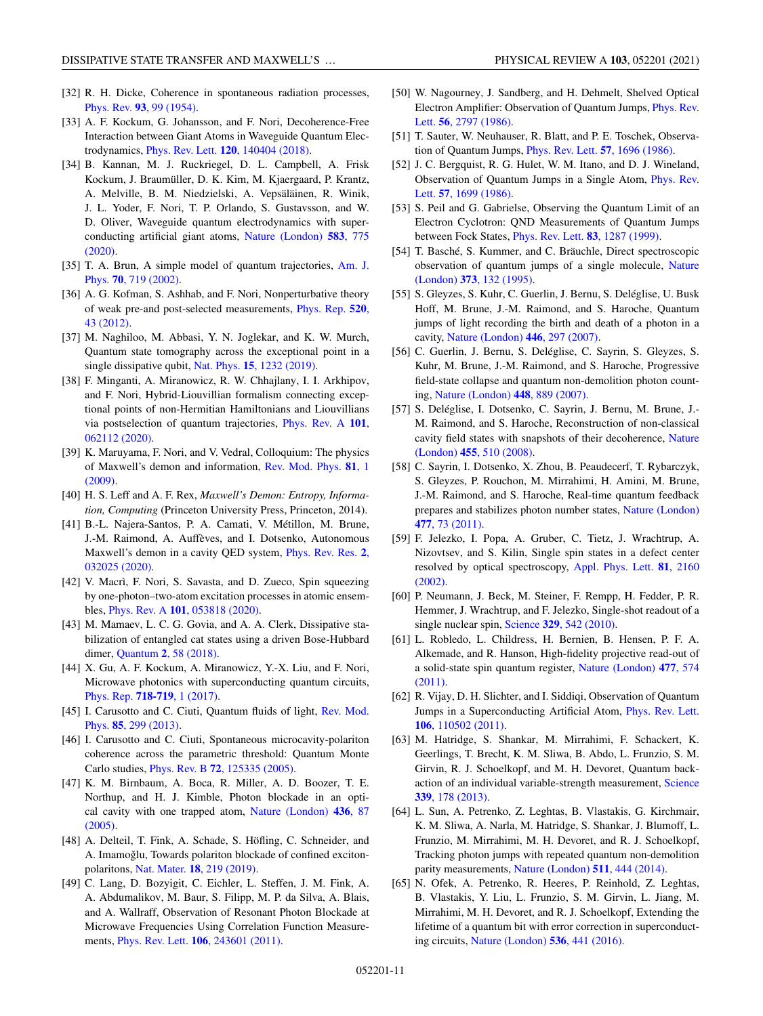- <span id="page-10-0"></span>[32] R. H. Dicke, Coherence in spontaneous radiation processes, Phys. Rev. **93**[, 99 \(1954\).](https://doi.org/10.1103/PhysRev.93.99)
- [33] A. F. Kockum, G. Johansson, and F. Nori, Decoherence-Free Interaction between Giant Atoms in Waveguide Quantum Electrodynamics, Phys. Rev. Lett. **120**[, 140404 \(2018\).](https://doi.org/10.1103/PhysRevLett.120.140404)
- [34] B. Kannan, M. J. Ruckriegel, D. L. Campbell, A. Frisk Kockum, J. Braumüller, D. K. Kim, M. Kjaergaard, P. Krantz, A. Melville, B. M. Niedzielski, A. Vepsäläinen, R. Winik, J. L. Yoder, F. Nori, T. P. Orlando, S. Gustavsson, and W. D. Oliver, Waveguide quantum electrodynamics with super[conducting artificial giant atoms,](https://doi.org/10.1038/s41586-020-2529-9) Nature (London) **583**, 775 (2020).
- [35] [T. A. Brun, A simple model of quantum trajectories,](https://doi.org/10.1119/1.1475328) Am. J. Phys. **70**, 719 (2002).
- [36] A. G. Kofman, S. Ashhab, and F. Nori, Nonperturbative theory [of weak pre-and post-selected measurements,](https://doi.org/10.1016/j.physrep.2012.07.001) Phys. Rep. **520**, 43 (2012).
- [37] M. Naghiloo, M. Abbasi, Y. N. Joglekar, and K. W. Murch, Quantum state tomography across the exceptional point in a single dissipative qubit, Nat. Phys. **15**[, 1232 \(2019\).](https://doi.org/10.1038/s41567-019-0652-z)
- [38] F. Minganti, A. Miranowicz, R. W. Chhajlany, I. I. Arkhipov, and F. Nori, Hybrid-Liouvillian formalism connecting exceptional points of non-Hermitian Hamiltonians and Liouvillians [via postselection of quantum trajectories,](https://doi.org/10.1103/PhysRevA.101.062112) Phys. Rev. A **101**, 062112 (2020).
- [39] K. Maruyama, F. Nori, and V. Vedral, Colloquium: The physics [of Maxwell's demon and information,](https://doi.org/10.1103/RevModPhys.81.1) Rev. Mod. Phys. **81**, 1 (2009).
- [40] H. S. Leff and A. F. Rex, *Maxwell's Demon: Entropy, Information, Computing* (Princeton University Press, Princeton, 2014).
- [41] B.-L. Najera-Santos, P. A. Camati, V. Métillon, M. Brune, J.-M. Raimond, A. Auffèves, and I. Dotsenko, Autonomous [Maxwell's demon in a cavity QED system,](https://doi.org/10.1103/PhysRevResearch.2.032025) Phys. Rev. Res. **2**, 032025 (2020).
- [42] V. Macrì, F. Nori, S. Savasta, and D. Zueco, Spin squeezing by one-photon–two-atom excitation processes in atomic ensembles, Phys. Rev. A **101**[, 053818 \(2020\).](https://doi.org/10.1103/PhysRevA.101.053818)
- [43] M. Mamaev, L. C. G. Govia, and A. A. Clerk, Dissipative stabilization of entangled cat states using a driven Bose-Hubbard dimer, Quantum **2**[, 58 \(2018\).](https://doi.org/10.22331/q-2018-03-27-58)
- [44] X. Gu, A. F. Kockum, A. Miranowicz, Y.-X. Liu, and F. Nori, Microwave photonics with superconducting quantum circuits, [Phys. Rep.](https://doi.org/10.1016/j.physrep.2017.10.002) **718-719**, 1 (2017).
- [45] [I. Carusotto and C. Ciuti, Quantum fluids of light,](https://doi.org/10.1103/RevModPhys.85.299) Rev. Mod. Phys. **85**, 299 (2013).
- [46] I. Carusotto and C. Ciuti, Spontaneous microcavity-polariton coherence across the parametric threshold: Quantum Monte Carlo studies, Phys. Rev. B **72**[, 125335 \(2005\).](https://doi.org/10.1103/PhysRevB.72.125335)
- [47] K. M. Birnbaum, A. Boca, R. Miller, A. D. Boozer, T. E. Northup, and H. J. Kimble, Photon blockade in an opti[cal cavity with one trapped atom,](https://doi.org/10.1038/nature03804) Nature (London) **436**, 87 (2005).
- [48] A. Delteil, T. Fink, A. Schade, S. Höfling, C. Schneider, and A. Imamoğlu, Towards polariton blockade of confined excitonpolaritons, Nat. Mater. **18**[, 219 \(2019\).](https://doi.org/10.1038/s41563-019-0282-y)
- [49] C. Lang, D. Bozyigit, C. Eichler, L. Steffen, J. M. Fink, A. A. Abdumalikov, M. Baur, S. Filipp, M. P. da Silva, A. Blais, and A. Wallraff, Observation of Resonant Photon Blockade at Microwave Frequencies Using Correlation Function Measurements, Phys. Rev. Lett. **106**[, 243601 \(2011\).](https://doi.org/10.1103/PhysRevLett.106.243601)
- [50] W. Nagourney, J. Sandberg, and H. Dehmelt, Shelved Optical [Electron Amplifier: Observation of Quantum Jumps,](https://doi.org/10.1103/PhysRevLett.56.2797) Phys. Rev. Lett. **56**, 2797 (1986).
- [51] T. Sauter, W. Neuhauser, R. Blatt, and P. E. Toschek, Observation of Quantum Jumps, [Phys. Rev. Lett.](https://doi.org/10.1103/PhysRevLett.57.1696) **57**, 1696 (1986).
- [52] J. C. Bergquist, R. G. Hulet, W. M. Itano, and D. J. Wineland, [Observation of Quantum Jumps in a Single Atom,](https://doi.org/10.1103/PhysRevLett.57.1699) Phys. Rev. Lett. **57**, 1699 (1986).
- [53] S. Peil and G. Gabrielse, Observing the Quantum Limit of an Electron Cyclotron: QND Measurements of Quantum Jumps between Fock States, [Phys. Rev. Lett.](https://doi.org/10.1103/PhysRevLett.83.1287) **83**, 1287 (1999).
- [54] T. Basché, S. Kummer, and C. Bräuchle, Direct spectroscopic [observation of quantum jumps of a single molecule,](https://doi.org/10.1038/373132a0) Nature (London) **373**, 132 (1995).
- [55] S. Gleyzes, S. Kuhr, C. Guerlin, J. Bernu, S. Deléglise, U. Busk Hoff, M. Brune, J.-M. Raimond, and S. Haroche, Quantum jumps of light recording the birth and death of a photon in a cavity, [Nature \(London\)](https://doi.org/10.1038/nature05589) **446**, 297 (2007).
- [56] C. Guerlin, J. Bernu, S. Deléglise, C. Sayrin, S. Gleyzes, S. Kuhr, M. Brune, J.-M. Raimond, and S. Haroche, Progressive field-state collapse and quantum non-demolition photon counting, [Nature \(London\)](https://doi.org/10.1038/nature06057) **448**, 889 (2007).
- [57] S. Deléglise, I. Dotsenko, C. Sayrin, J. Bernu, M. Brune, J.- M. Raimond, and S. Haroche, Reconstruction of non-classical [cavity field states with snapshots of their decoherence,](https://doi.org/10.1038/nature07288) Nature (London) **455**, 510 (2008).
- [58] C. Sayrin, I. Dotsenko, X. Zhou, B. Peaudecerf, T. Rybarczyk, S. Gleyzes, P. Rouchon, M. Mirrahimi, H. Amini, M. Brune, J.-M. Raimond, and S. Haroche, Real-time quantum feedback [prepares and stabilizes photon number states,](https://doi.org/10.1038/nature10376) Nature (London) **477**, 73 (2011).
- [59] F. Jelezko, I. Popa, A. Gruber, C. Tietz, J. Wrachtrup, A. Nizovtsev, and S. Kilin, Single spin states in a defect center [resolved by optical spectroscopy,](https://doi.org/10.1063/1.1507838) Appl. Phys. Lett. **81**, 2160 (2002).
- [60] P. Neumann, J. Beck, M. Steiner, F. Rempp, H. Fedder, P. R. Hemmer, J. Wrachtrup, and F. Jelezko, Single-shot readout of a single nuclear spin, Science **329**[, 542 \(2010\).](https://doi.org/10.1126/science.1189075)
- [61] L. Robledo, L. Childress, H. Bernien, B. Hensen, P. F. A. Alkemade, and R. Hanson, High-fidelity projective read-out of [a solid-state spin quantum register,](https://doi.org/10.1038/nature10401) Nature (London) **477**, 574 (2011).
- [62] R. Vijay, D. H. Slichter, and I. Siddiqi, Observation of Quantum [Jumps in a Superconducting Artificial Atom,](https://doi.org/10.1103/PhysRevLett.106.110502) Phys. Rev. Lett. **106**, 110502 (2011).
- [63] M. Hatridge, S. Shankar, M. Mirrahimi, F. Schackert, K. Geerlings, T. Brecht, K. M. Sliwa, B. Abdo, L. Frunzio, S. M. Girvin, R. J. Schoelkopf, and M. H. Devoret, Quantum back[action of an individual variable-strength measurement,](https://doi.org/10.1126/science.1226897) Science **339**, 178 (2013).
- [64] L. Sun, A. Petrenko, Z. Leghtas, B. Vlastakis, G. Kirchmair, K. M. Sliwa, A. Narla, M. Hatridge, S. Shankar, J. Blumoff, L. Frunzio, M. Mirrahimi, M. H. Devoret, and R. J. Schoelkopf, Tracking photon jumps with repeated quantum non-demolition parity measurements, [Nature \(London\)](https://doi.org/10.1038/nature13436) **511**, 444 (2014).
- [65] N. Ofek, A. Petrenko, R. Heeres, P. Reinhold, Z. Leghtas, B. Vlastakis, Y. Liu, L. Frunzio, S. M. Girvin, L. Jiang, M. Mirrahimi, M. H. Devoret, and R. J. Schoelkopf, Extending the lifetime of a quantum bit with error correction in superconducting circuits, [Nature \(London\)](https://doi.org/10.1038/nature18949) **536**, 441 (2016).